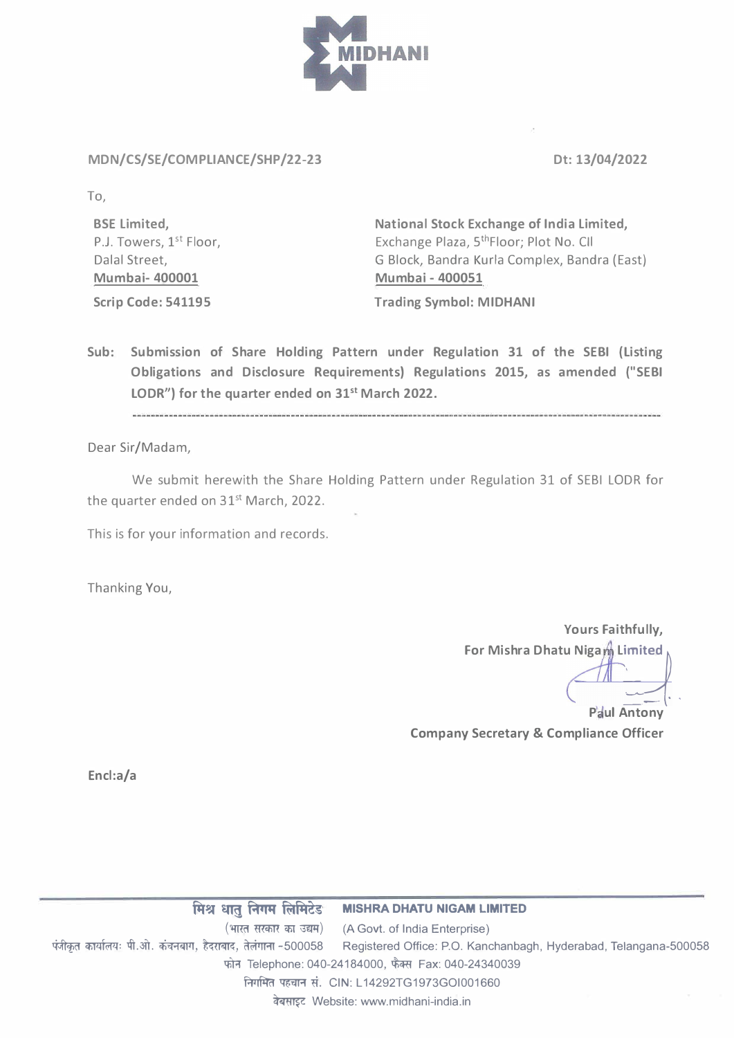

## **MDN/CS/SE/COMPLIANCE/SHP/22-23** Dt: 13/04/2022

**To,** 

**BSE Limited,**  P.J. Towers, 1<sup>st</sup> Floor, Dalal Street, **Mumbai- 400001 Scrip Code: 541195** 

**National Stock Exchange of India Limited,**  Exchange Plaza, S **th** Floor; Plot No. CII G Block, Bandra Kurla Complex, Bandra (East) **Mumbai - 400051** 

**Trading Symbol: MIDHANI** 

**Sub: Submission of Share Holding Pattern under Regulation 31 of the SEBI (Listing Obligations and Disclosure Requirements} Regulations 2015, as amended ("SEBI LODR"} for the quarter ended on 31st March 2022.** 

Dear Sir/Madam,

We submit herewith the Share Holding Pattern under Regulation 31 of SEBI LODR for the quarter ended on 31<sup>st</sup> March, 2022.

This is for your information and records.

Thanking You,

**Yours Faithfully, For Mishra Dhatu Nigam Limited** 

**Paul Antony Company Secretary & Compliance Officer** 

**Encl:a/a** 

**A� � Rtti1 i°ffli+let MISHRA DHATU NIGAM LIMITED**  (भारत सरकार का उद्यम) (A Govt. of India Enterprise) पंजीकृत कार्यालयः पी.ओ. कंचनबाग, हैदराबाद, तेलंगाना -500058 Registered Office: P.O. Kanchanbagh, Hyderabad, Telangana-500058 फोन Telephone: 040-24184000, फैक्स Fax: 040-24340039 निगमित पहचान सं. CIN: L14292TG1973GOI001660 � Website: www.midhani-india.in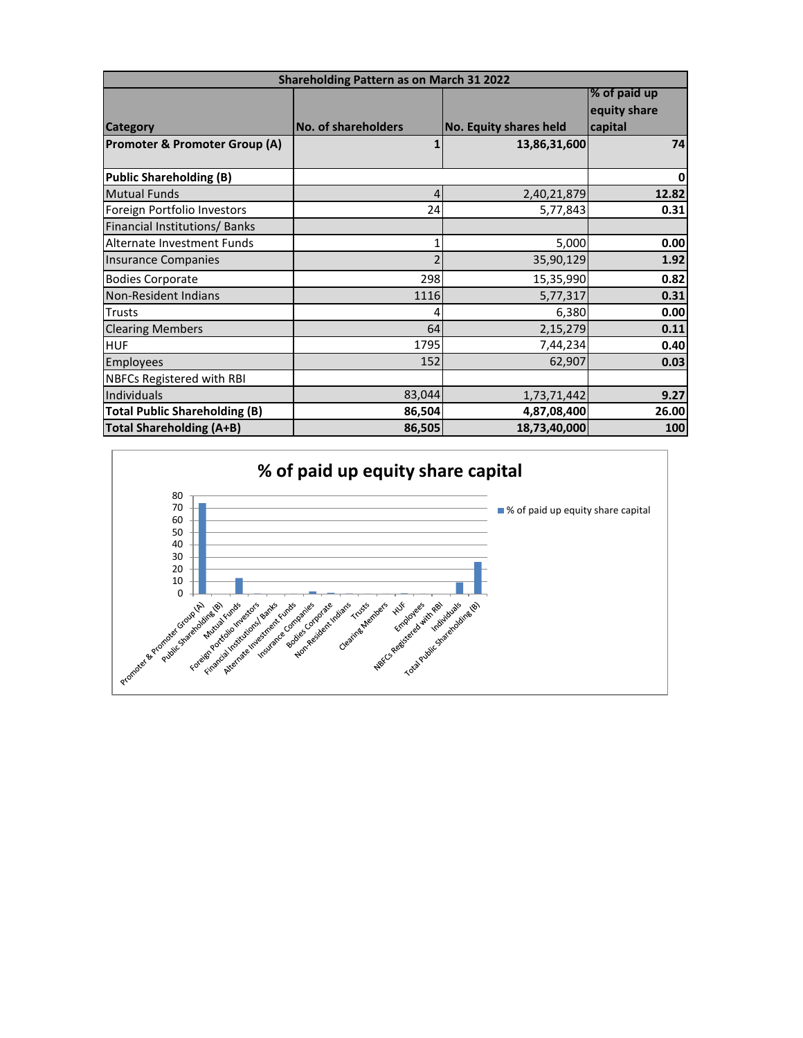| <b>Shareholding Pattern as on March 31 2022</b> |                            |                               |              |  |  |
|-------------------------------------------------|----------------------------|-------------------------------|--------------|--|--|
|                                                 |                            |                               | % of paid up |  |  |
|                                                 |                            |                               | equity share |  |  |
| <b>Category</b>                                 | <b>No. of shareholders</b> | <b>No. Equity shares held</b> | capital      |  |  |
| Promoter & Promoter Group (A)                   | 1                          | 13,86,31,600                  | 74           |  |  |
|                                                 |                            |                               |              |  |  |
| <b>Public Shareholding (B)</b>                  |                            |                               | $\mathbf 0$  |  |  |
| <b>Mutual Funds</b>                             | 4                          | 2,40,21,879                   | 12.82        |  |  |
| Foreign Portfolio Investors                     | 24                         | 5,77,843                      | 0.31         |  |  |
| Financial Institutions/ Banks                   |                            |                               |              |  |  |
| Alternate Investment Funds                      | 1                          | 5,000                         | 0.00         |  |  |
| <b>Insurance Companies</b>                      | $\overline{\phantom{a}}$   | 35,90,129                     | 1.92         |  |  |
| <b>Bodies Corporate</b>                         | 298                        | 15,35,990                     | 0.82         |  |  |
| Non-Resident Indians                            | 1116                       | 5,77,317                      | 0.31         |  |  |
| <b>Trusts</b>                                   | 4                          | 6,380                         | 0.00         |  |  |
| <b>Clearing Members</b>                         | 64                         | 2,15,279                      | 0.11         |  |  |
| <b>HUF</b>                                      | 1795                       | 7,44,234                      | 0.40         |  |  |
| Employees                                       | 152                        | 62,907                        | 0.03         |  |  |
| <b>NBFCs Registered with RBI</b>                |                            |                               |              |  |  |
| Individuals                                     | 83,044                     | 1,73,71,442                   | 9.27         |  |  |
| <b>Total Public Shareholding (B)</b>            | 86,504                     | 4,87,08,400                   | 26.00        |  |  |
| <b>Total Shareholding (A+B)</b>                 | 86,505                     | 18,73,40,000                  | 100          |  |  |